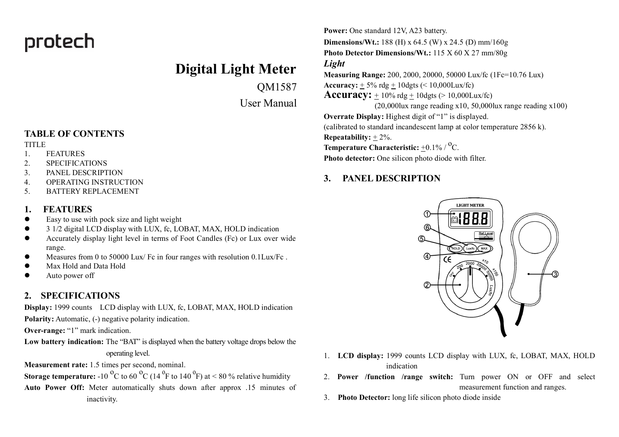# protech

# **Digital Light Meter**

QM1587

User Manual

### **TABLE OF CONTENTS**

#### **TITLE**

- 1. FEATURES
- 2. SPECIFICATIONS
- 3. PANEL DESCRIPTION
- 4. OPERATING INSTRUCTION
- 5. BATTERY REPLACEMENT

### **1. FEATURES**

- $\bullet$  Easy to use with pock size and light weight
- 3 1/2 digital LCD display with LUX, fc, LOBAT, MAX, HOLD indication
- **•** Accurately display light level in terms of Foot Candles (Fc) or Lux over wide range.
- l Measures from 0 to 50000 Lux/ Fc in four ranges with resolution 0.1Lux/Fc .
- Max Hold and Data Hold
- Auto power off

## **2. SPECIFICATIONS**

**Display:** 1999 counts LCD display with LUX, fc, LOBAT, MAX, HOLD indication Polarity: Automatic, (-) negative polarity indication.

**Over-range:** "1" mark indication.

**Low battery indication:** The "BAT" is displayed when the battery voltage drops below the operating level.

**Measurement rate:** 1.5 times per second, nominal.

**Storage temperature:** -10  ${}^{0}C$  to 60  ${}^{0}C$  (14  ${}^{0}F$  to 140  ${}^{0}F$ ) at < 80 % relative humidity

**Auto Power Off:** Meter automatically shuts down after approx .15 minutes of inactivity.

**Power:** One standard 12V, A23 battery. **Dimensions/Wt.:** 188 (H) x 64.5 (W) x 24.5 (D) mm/160g **Photo Detector Dimensions/Wt.:** 115 X 60 X 27 mm/80g *Light* **Measuring Range:** 200, 2000, 20000, 50000 Lux/fc (1Fc=10.76 Lux) **Accuracy:**  $+ 5\%$  rdg  $+ 10$ dgts ( $\le 10,000$ Lux/fc) **Accuracy:**  $+10\%$  rdg  $+10$ dgts ( $> 10,000$ Lux/fc) (20,000lux range reading x10, 50,000lux range reading x100) **Overrate Display:** Highest digit of "1" is displayed. (calibrated to standard incandescent lamp at color temperature 2856 k). **Repeatability:** + 2%. **Temperature Characteristic:**  $\pm 0.1\%$  / <sup>O</sup>C. **Photo detector:** One silicon photo diode with filter.

# **3. PANEL DESCRIPTION**



- 1. **LCD display:** 1999 counts LCD display with LUX, fc, LOBAT, MAX, HOLD indication
- 2. **Power /function /range switch:** Turn power ON or OFF and select measurement function and ranges.
- 3. **Photo Detector:** long life silicon photo diode inside